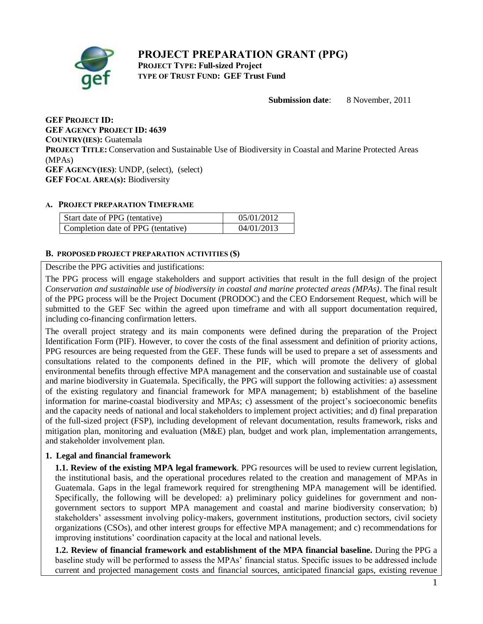# **PROJECT PREPARATION GRANT (PPG) PROJECT TYPE: Full-sized Project**



**TYPE OF TRUST FUND: GEF Trust Fund**

**Submission date**: 8 November, 2011

**GEF PROJECT ID: GEF AGENCY PROJECT ID: 4639 COUNTRY(IES):** Guatemala **PROJECT TITLE:** Conservation and Sustainable Use of Biodiversity in Coastal and Marine Protected Areas (MPAs) **GEF AGENCY(IES)**: UNDP, (select), (select) **GEF FOCAL AREA(s):** Biodiversity

### **A. PROJECT PREPARATION TIMEFRAME**

| Start date of PPG (tentative)      | 05/01/2012 |
|------------------------------------|------------|
| Completion date of PPG (tentative) | 04/01/2013 |

# **B. PROPOSED PROJECT PREPARATION ACTIVITIES (\$)**

Describe the PPG activities and justifications:

The PPG process will engage stakeholders and support activities that result in the full design of the project *Conservation and sustainable use of biodiversity in coastal and marine protected areas (MPAs)*. The final result of the PPG process will be the Project Document (PRODOC) and the CEO Endorsement Request, which will be submitted to the GEF Sec within the agreed upon timeframe and with all support documentation required, including co-financing confirmation letters.

The overall project strategy and its main components were defined during the preparation of the Project Identification Form (PIF). However, to cover the costs of the final assessment and definition of priority actions, PPG resources are being requested from the GEF. These funds will be used to prepare a set of assessments and consultations related to the components defined in the PIF, which will promote the delivery of global environmental benefits through effective MPA management and the conservation and sustainable use of coastal and marine biodiversity in Guatemala. Specifically, the PPG will support the following activities: a) assessment of the existing regulatory and financial framework for MPA management; b) establishment of the baseline information for marine-coastal biodiversity and MPAs; c) assessment of the project's socioeconomic benefits and the capacity needs of national and local stakeholders to implement project activities; and d) final preparation of the full-sized project (FSP), including development of relevant documentation, results framework, risks and mitigation plan, monitoring and evaluation (M&E) plan, budget and work plan, implementation arrangements, and stakeholder involvement plan.

# **1. Legal and financial framework**

**1.1. Review of the existing MPA legal framework**. PPG resources will be used to review current legislation, the institutional basis, and the operational procedures related to the creation and management of MPAs in Guatemala. Gaps in the legal framework required for strengthening MPA management will be identified. Specifically, the following will be developed: a) preliminary policy guidelines for government and nongovernment sectors to support MPA management and coastal and marine biodiversity conservation; b) stakeholders' assessment involving policy-makers, government institutions, production sectors, civil society organizations (CSOs), and other interest groups for effective MPA management; and c) recommendations for improving institutions' coordination capacity at the local and national levels.

**1.2. Review of financial framework and establishment of the MPA financial baseline.** During the PPG a baseline study will be performed to assess the MPAs' financial status. Specific issues to be addressed include current and projected management costs and financial sources, anticipated financial gaps, existing revenue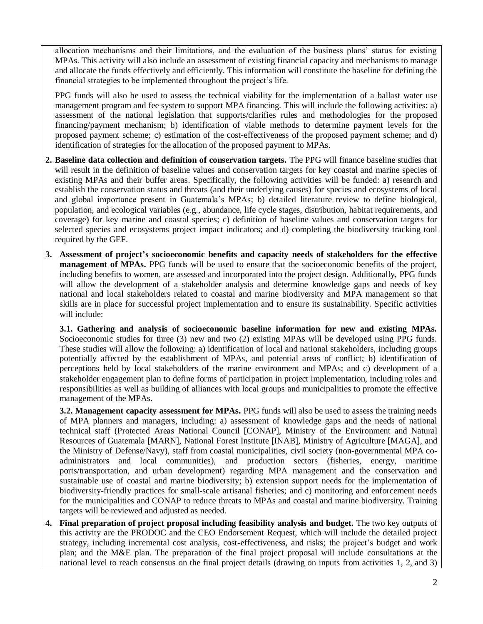allocation mechanisms and their limitations, and the evaluation of the business plans' status for existing MPAs. This activity will also include an assessment of existing financial capacity and mechanisms to manage and allocate the funds effectively and efficiently. This information will constitute the baseline for defining the financial strategies to be implemented throughout the project's life.

PPG funds will also be used to assess the technical viability for the implementation of a ballast water use management program and fee system to support MPA financing. This will include the following activities: a) assessment of the national legislation that supports/clarifies rules and methodologies for the proposed financing/payment mechanism; b) identification of viable methods to determine payment levels for the proposed payment scheme; c) estimation of the cost-effectiveness of the proposed payment scheme; and d) identification of strategies for the allocation of the proposed payment to MPAs.

- **2. Baseline data collection and definition of conservation targets.** The PPG will finance baseline studies that will result in the definition of baseline values and conservation targets for key coastal and marine species of existing MPAs and their buffer areas. Specifically, the following activities will be funded: a) research and establish the conservation status and threats (and their underlying causes) for species and ecosystems of local and global importance present in Guatemala's MPAs; b) detailed literature review to define biological, population, and ecological variables (e.g., abundance, life cycle stages, distribution, habitat requirements, and coverage) for key marine and coastal species; c) definition of baseline values and conservation targets for selected species and ecosystems project impact indicators; and d) completing the biodiversity tracking tool required by the GEF.
- **3. Assessment of project's socioeconomic benefits and capacity needs of stakeholders for the effective management of MPAs.** PPG funds will be used to ensure that the socioeconomic benefits of the project, including benefits to women, are assessed and incorporated into the project design. Additionally, PPG funds will allow the development of a stakeholder analysis and determine knowledge gaps and needs of key national and local stakeholders related to coastal and marine biodiversity and MPA management so that skills are in place for successful project implementation and to ensure its sustainability. Specific activities will include:

**3.1. Gathering and analysis of socioeconomic baseline information for new and existing MPAs.** Socioeconomic studies for three (3) new and two (2) existing MPAs will be developed using PPG funds. These studies will allow the following: a) identification of local and national stakeholders, including groups potentially affected by the establishment of MPAs, and potential areas of conflict; b) identification of perceptions held by local stakeholders of the marine environment and MPAs; and c) development of a stakeholder engagement plan to define forms of participation in project implementation, including roles and responsibilities as well as building of alliances with local groups and municipalities to promote the effective management of the MPAs.

**3.2. Management capacity assessment for MPAs.** PPG funds will also be used to assess the training needs of MPA planners and managers, including: a) assessment of knowledge gaps and the needs of national technical staff (Protected Areas National Council [CONAP], Ministry of the Environment and Natural Resources of Guatemala [MARN], National Forest Institute [INAB], Ministry of Agriculture [MAGA], and the Ministry of Defense/Navy), staff from coastal municipalities, civil society (non-governmental MPA coadministrators and local communities), and production sectors (fisheries, energy, maritime ports/transportation, and urban development) regarding MPA management and the conservation and sustainable use of coastal and marine biodiversity; b) extension support needs for the implementation of biodiversity-friendly practices for small-scale artisanal fisheries; and c) monitoring and enforcement needs for the municipalities and CONAP to reduce threats to MPAs and coastal and marine biodiversity. Training targets will be reviewed and adjusted as needed.

**4. Final preparation of project proposal including feasibility analysis and budget.** The two key outputs of this activity are the PRODOC and the CEO Endorsement Request, which will include the detailed project strategy, including incremental cost analysis, cost-effectiveness, and risks; the project's budget and work plan; and the M&E plan. The preparation of the final project proposal will include consultations at the national level to reach consensus on the final project details (drawing on inputs from activities 1, 2, and 3)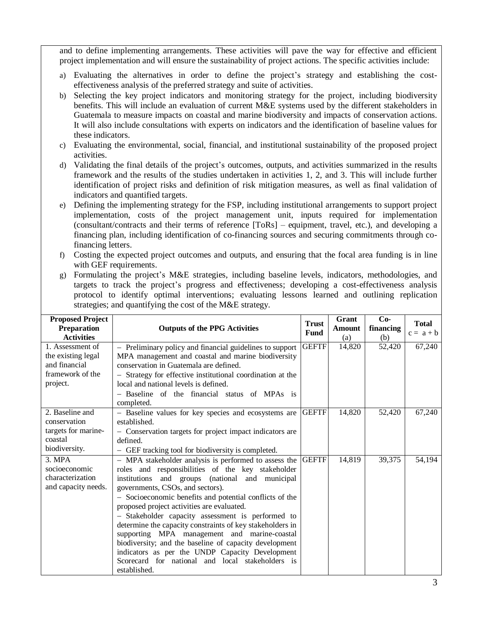and to define implementing arrangements. These activities will pave the way for effective and efficient project implementation and will ensure the sustainability of project actions. The specific activities include:

- a) Evaluating the alternatives in order to define the project's strategy and establishing the costeffectiveness analysis of the preferred strategy and suite of activities.
- b) Selecting the key project indicators and monitoring strategy for the project, including biodiversity benefits. This will include an evaluation of current M&E systems used by the different stakeholders in Guatemala to measure impacts on coastal and marine biodiversity and impacts of conservation actions. It will also include consultations with experts on indicators and the identification of baseline values for these indicators.
- c) Evaluating the environmental, social, financial, and institutional sustainability of the proposed project activities.
- d) Validating the final details of the project's outcomes, outputs, and activities summarized in the results framework and the results of the studies undertaken in activities 1, 2, and 3. This will include further identification of project risks and definition of risk mitigation measures, as well as final validation of indicators and quantified targets.
- e) Defining the implementing strategy for the FSP, including institutional arrangements to support project implementation, costs of the project management unit, inputs required for implementation (consultant/contracts and their terms of reference [ToRs] – equipment, travel, etc.), and developing a financing plan, including identification of co-financing sources and securing commitments through cofinancing letters.
- f) Costing the expected project outcomes and outputs, and ensuring that the focal area funding is in line with GEF requirements.
- g) Formulating the project's M&E strategies, including baseline levels, indicators, methodologies, and targets to track the project's progress and effectiveness; developing a cost-effectiveness analysis protocol to identify optimal interventions; evaluating lessons learned and outlining replication strategies; and quantifying the cost of the M&E strategy.

| <b>Proposed Project</b><br><b>Preparation</b><br><b>Activities</b> | <b>Outputs of the PPG Activities</b>                                                                           | <b>Trust</b><br>Fund | Grant<br><b>Amount</b><br>(a) | $Co-$<br>financing<br>(b) | <b>Total</b><br>$c = a + b$ |
|--------------------------------------------------------------------|----------------------------------------------------------------------------------------------------------------|----------------------|-------------------------------|---------------------------|-----------------------------|
| 1. Assessment of<br>the existing legal                             | - Preliminary policy and financial guidelines to support<br>MPA management and coastal and marine biodiversity | <b>GEFTF</b>         | 14,820                        | 52,420                    | 67,240                      |
| and financial                                                      | conservation in Guatemala are defined.                                                                         |                      |                               |                           |                             |
| framework of the                                                   | - Strategy for effective institutional coordination at the                                                     |                      |                               |                           |                             |
| project.                                                           | local and national levels is defined.                                                                          |                      |                               |                           |                             |
|                                                                    | - Baseline of the financial status of MPAs is<br>completed.                                                    |                      |                               |                           |                             |
| 2. Baseline and                                                    | - Baseline values for key species and ecosystems are                                                           | <b>GEFTF</b>         | 14,820                        | 52,420                    | 67,240                      |
| conservation                                                       | established.                                                                                                   |                      |                               |                           |                             |
| targets for marine-<br>coastal                                     | - Conservation targets for project impact indicators are                                                       |                      |                               |                           |                             |
| biodiversity.                                                      | defined.                                                                                                       |                      |                               |                           |                             |
| 3. MPA                                                             | - GEF tracking tool for biodiversity is completed.                                                             | <b>GEFTF</b>         | 14,819                        | 39,375                    | 54,194                      |
| socioeconomic                                                      | - MPA stakeholder analysis is performed to assess the<br>roles and responsibilities of the key stakeholder     |                      |                               |                           |                             |
| characterization                                                   | institutions and groups (national and municipal                                                                |                      |                               |                           |                             |
| and capacity needs.                                                | governments, CSOs, and sectors).                                                                               |                      |                               |                           |                             |
|                                                                    | - Socioeconomic benefits and potential conflicts of the                                                        |                      |                               |                           |                             |
|                                                                    | proposed project activities are evaluated.                                                                     |                      |                               |                           |                             |
|                                                                    | - Stakeholder capacity assessment is performed to                                                              |                      |                               |                           |                             |
|                                                                    | determine the capacity constraints of key stakeholders in                                                      |                      |                               |                           |                             |
|                                                                    | supporting MPA management and marine-coastal                                                                   |                      |                               |                           |                             |
|                                                                    | biodiversity; and the baseline of capacity development                                                         |                      |                               |                           |                             |
|                                                                    | indicators as per the UNDP Capacity Development<br>Scorecard for national and local stakeholders is            |                      |                               |                           |                             |
|                                                                    | established.                                                                                                   |                      |                               |                           |                             |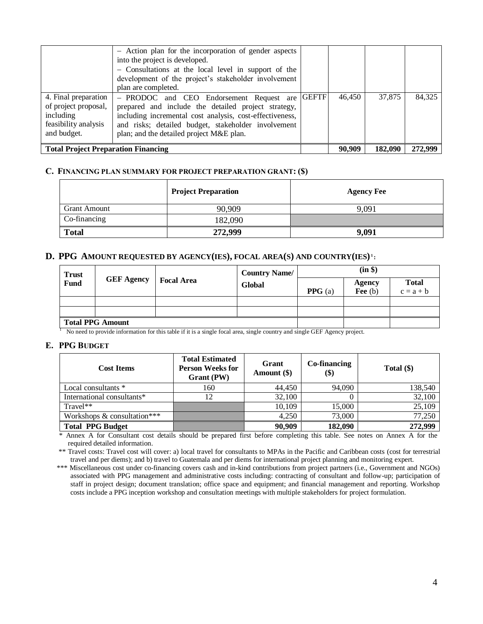|                                            | - Action plan for the incorporation of gender aspects    |        |         |         |
|--------------------------------------------|----------------------------------------------------------|--------|---------|---------|
|                                            | into the project is developed.                           |        |         |         |
|                                            | - Consultations at the local level in support of the     |        |         |         |
|                                            | development of the project's stakeholder involvement     |        |         |         |
|                                            | plan are completed.                                      |        |         |         |
| 4. Final preparation                       | - PRODOC and CEO Endorsement Request are GEFTF           | 46.450 | 37,875  | 84,325  |
| of project proposal,                       | prepared and include the detailed project strategy,      |        |         |         |
| including                                  | including incremental cost analysis, cost-effectiveness, |        |         |         |
| feasibility analysis                       | and risks; detailed budget, stakeholder involvement      |        |         |         |
| and budget.                                | plan; and the detailed project M&E plan.                 |        |         |         |
|                                            |                                                          |        |         |         |
| <b>Total Project Preparation Financing</b> |                                                          | 90,909 | 182,090 | 272,999 |

#### **C. FINANCING PLAN SUMMARY FOR PROJECT PREPARATION GRANT: (\$)**

|                     | <b>Project Preparation</b> | <b>Agency Fee</b> |
|---------------------|----------------------------|-------------------|
| <b>Grant Amount</b> | 90,909                     | 9,091             |
| Co-financing        | 182,090                    |                   |
| <b>Total</b>        | 272,999                    | 9,091             |

### **D. PPG AMOUNT REQUESTED BY AGENCY(IES), FOCAL AREA(S) AND COUNTRY(IES) 1 :**

| <b>Trust</b>            |                   |  | <b>Country Name/</b><br><b>Focal Area</b><br>Global | (in \$)          |           |              |
|-------------------------|-------------------|--|-----------------------------------------------------|------------------|-----------|--------------|
| <b>Fund</b>             | <b>GEF Agency</b> |  |                                                     |                  | Agency    | <b>Total</b> |
|                         |                   |  |                                                     | <b>PPG</b> $(a)$ | Fee $(b)$ | $c = a + b$  |
|                         |                   |  |                                                     |                  |           |              |
|                         |                   |  |                                                     |                  |           |              |
| <b>Total PPG Amount</b> |                   |  |                                                     |                  |           |              |

<sup>1</sup> No need to provide information for this table if it is a single focal area, single country and single GEF Agency project.

#### **E. PPG BUDGET**

| <b>Cost Items</b>                         | <b>Total Estimated</b><br><b>Person Weeks for</b><br>Grant (PW) | Grant<br>Amount (\$) | Co-financing<br>(\$) | Total $(\$)$ |
|-------------------------------------------|-----------------------------------------------------------------|----------------------|----------------------|--------------|
| Local consultants *                       | 160                                                             | 44.450               | 94,090               | 138,540      |
| International consultants*                |                                                                 | 32,100               |                      | 32,100       |
| Travel**                                  |                                                                 | 10.109               | 15,000               | 25,109       |
| Workshops $&$ consultation <sup>***</sup> |                                                                 | 4.250                | 73,000               | 77,250       |
| <b>Total PPG Budget</b>                   |                                                                 | 90,909               | 182,090              | 272,999      |

\* Annex A for Consultant cost details should be prepared first before completing this table. See notes on Annex A for the required detailed information.

\*\* Travel costs: Travel cost will cover: a) local travel for consultants to MPAs in the Pacific and Caribbean costs (cost for terrestrial travel and per diems); and b) travel to Guatemala and per diems for international project planning and monitoring expert.

\*\*\* Miscellaneous cost under co-financing covers cash and in-kind contributions from project partners (i.e., Government and NGOs) associated with PPG management and administrative costs including: contracting of consultant and follow-up; participation of staff in project design; document translation; office space and equipment; and financial management and reporting. Workshop costs include a PPG inception workshop and consultation meetings with multiple stakeholders for project formulation.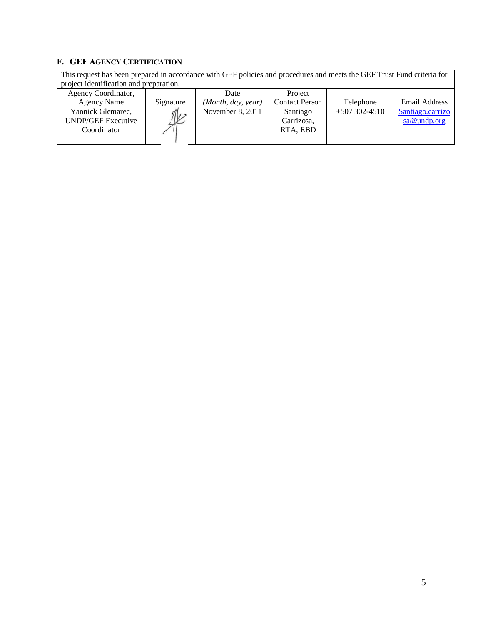## **F. GEF AGENCY CERTIFICATION**

This request has been prepared in accordance with GEF policies and procedures and meets the GEF Trust Fund criteria for project identification and preparation.

| Agency Coordinator,                                           |              | Date               | Project                            |                  |                                 |
|---------------------------------------------------------------|--------------|--------------------|------------------------------------|------------------|---------------------------------|
| <b>Agency Name</b>                                            | Signature    | (Month, day, year) | <b>Contact Person</b>              | Telephone        | <b>Email Address</b>            |
| Yannick Glemarec,<br><b>UNDP/GEF Executive</b><br>Coordinator | $\mathbb{R}$ | November 8, 2011   | Santiago<br>Carrizosa,<br>RTA, EBD | $+507302 - 4510$ | Santiago.carrizo<br>sa@undp.org |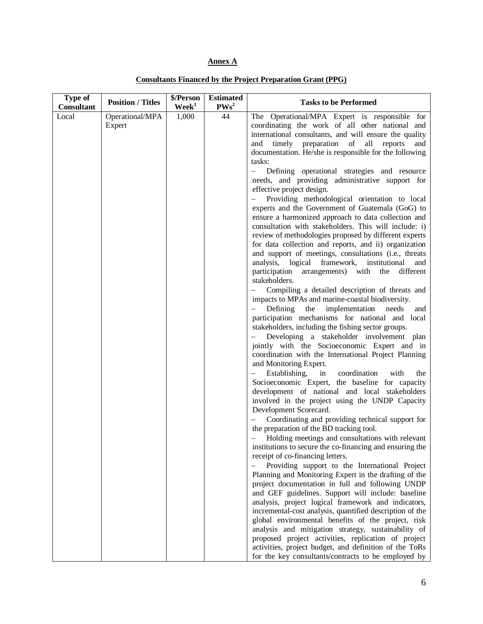### **Annex A**

| <b>Type of</b><br>Consultant | <b>Position / Titles</b>  | \$/Person<br>$\mathbf{Week}^1$ | <b>Estimated</b><br>PWs <sup>2</sup> | <b>Tasks to be Performed</b>                                                                                                                                                                                                                                                                                                                                                                                                                                                                                                                                                                                                                                                                                                                                                                                                                                                                                                                                                                                                                                                                                                                                                                              |
|------------------------------|---------------------------|--------------------------------|--------------------------------------|-----------------------------------------------------------------------------------------------------------------------------------------------------------------------------------------------------------------------------------------------------------------------------------------------------------------------------------------------------------------------------------------------------------------------------------------------------------------------------------------------------------------------------------------------------------------------------------------------------------------------------------------------------------------------------------------------------------------------------------------------------------------------------------------------------------------------------------------------------------------------------------------------------------------------------------------------------------------------------------------------------------------------------------------------------------------------------------------------------------------------------------------------------------------------------------------------------------|
| Local                        | Operational/MPA<br>Expert | 1,000                          | 44                                   | The Operational/MPA Expert is responsible for<br>coordinating the work of all other national and<br>international consultants, and will ensure the quality<br>and timely preparation of all<br>reports<br>and<br>documentation. He/she is responsible for the following                                                                                                                                                                                                                                                                                                                                                                                                                                                                                                                                                                                                                                                                                                                                                                                                                                                                                                                                   |
|                              |                           |                                |                                      | tasks:<br>Defining operational strategies and resource<br>$\overline{\phantom{0}}$<br>needs, and providing administrative support for<br>effective project design.<br>Providing methodological orientation to local<br>experts and the Government of Guatemala (GoG) to<br>ensure a harmonized approach to data collection and<br>consultation with stakeholders. This will include: i)<br>review of methodologies proposed by different experts<br>for data collection and reports, and ii) organization<br>and support of meetings, consultations (i.e., threats<br>analysis, logical framework, institutional<br>and<br>participation arrangements) with the different<br>stakeholders.<br>Compiling a detailed description of threats and<br>$-$<br>impacts to MPAs and marine-coastal biodiversity.<br>Defining<br>the<br>implementation<br>needs<br>and<br>participation mechanisms for national and local<br>stakeholders, including the fishing sector groups.<br>Developing a stakeholder involvement plan<br>jointly with the Socioeconomic Expert and in                                                                                                                                       |
|                              |                           |                                |                                      | coordination with the International Project Planning<br>and Monitoring Expert.<br>- Establishing,<br>in<br>coordination<br>with<br>the<br>Socioeconomic Expert, the baseline for capacity<br>development of national and local stakeholders<br>involved in the project using the UNDP Capacity<br>Development Scorecard.<br>Coordinating and providing technical support for<br>the preparation of the BD tracking tool.<br>Holding meetings and consultations with relevant<br>institutions to secure the co-financing and ensuring the<br>receipt of co-financing letters.<br>Providing support to the International Project<br>Planning and Monitoring Expert in the drafting of the<br>project documentation in full and following UNDP<br>and GEF guidelines. Support will include: baseline<br>analysis, project logical framework and indicators,<br>incremental-cost analysis, quantified description of the<br>global environmental benefits of the project, risk<br>analysis and mitigation strategy, sustainability of<br>proposed project activities, replication of project<br>activities, project budget, and definition of the ToRs<br>for the key consultants/contracts to be employed by |

**Consultants Financed by the Project Preparation Grant (PPG)**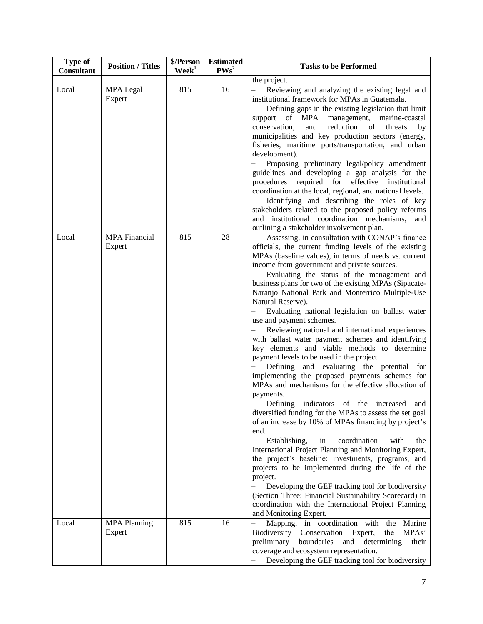| <b>Type of</b><br><b>Consultant</b> | <b>Position / Titles</b>       | \$/Person<br>$\mathbf{W}\mathbf{e}\mathbf{e}\mathbf{k}^1$ | <b>Estimated</b><br>$PWS^2$ | <b>Tasks to be Performed</b>                                                                                                                                                                                                                                                                                                                                                                                                                                                                                                                                                                                                                                                                                                                                                                                                                                                                                                                                                                                                                                                                                                                                                                                                                                                                                                                                                                                                                                                                          |
|-------------------------------------|--------------------------------|-----------------------------------------------------------|-----------------------------|-------------------------------------------------------------------------------------------------------------------------------------------------------------------------------------------------------------------------------------------------------------------------------------------------------------------------------------------------------------------------------------------------------------------------------------------------------------------------------------------------------------------------------------------------------------------------------------------------------------------------------------------------------------------------------------------------------------------------------------------------------------------------------------------------------------------------------------------------------------------------------------------------------------------------------------------------------------------------------------------------------------------------------------------------------------------------------------------------------------------------------------------------------------------------------------------------------------------------------------------------------------------------------------------------------------------------------------------------------------------------------------------------------------------------------------------------------------------------------------------------------|
|                                     |                                |                                                           |                             | the project.                                                                                                                                                                                                                                                                                                                                                                                                                                                                                                                                                                                                                                                                                                                                                                                                                                                                                                                                                                                                                                                                                                                                                                                                                                                                                                                                                                                                                                                                                          |
| Local                               | <b>MPA</b> Legal<br>Expert     | 815                                                       | 16                          | Reviewing and analyzing the existing legal and<br>institutional framework for MPAs in Guatemala.<br>Defining gaps in the existing legislation that limit<br>of MPA<br>management,<br>support<br>marine-coastal<br>conservation,<br>and<br>reduction<br>of<br>threats<br>by<br>municipalities and key production sectors (energy,<br>fisheries, maritime ports/transportation, and urban<br>development).<br>Proposing preliminary legal/policy amendment<br>guidelines and developing a gap analysis for the<br>procedures required for effective institutional<br>coordination at the local, regional, and national levels.<br>Identifying and describing the roles of key<br>stakeholders related to the proposed policy reforms<br>and institutional coordination mechanisms,<br>and<br>outlining a stakeholder involvement plan.                                                                                                                                                                                                                                                                                                                                                                                                                                                                                                                                                                                                                                                                  |
| Local                               | <b>MPA</b> Financial<br>Expert | 815                                                       | 28                          | Assessing, in consultation with CONAP's finance<br>officials, the current funding levels of the existing<br>MPAs (baseline values), in terms of needs vs. current<br>income from government and private sources.<br>Evaluating the status of the management and<br>business plans for two of the existing MPAs (Sipacate-<br>Naranjo National Park and Monterrico Multiple-Use<br>Natural Reserve).<br>Evaluating national legislation on ballast water<br>use and payment schemes.<br>Reviewing national and international experiences<br>with ballast water payment schemes and identifying<br>key elements and viable methods to determine<br>payment levels to be used in the project.<br>Defining and evaluating the potential for<br>implementing the proposed payments schemes for<br>MPAs and mechanisms for the effective allocation of<br>payments.<br>- Defining indicators of the increased<br>and<br>diversified funding for the MPAs to assess the set goal<br>of an increase by 10% of MPAs financing by project's<br>end.<br>Establishing,<br>coordination<br>in<br>with<br>$\qquad \qquad -$<br>the<br>International Project Planning and Monitoring Expert,<br>the project's baseline: investments, programs, and<br>projects to be implemented during the life of the<br>project.<br>Developing the GEF tracking tool for biodiversity<br>(Section Three: Financial Sustainability Scorecard) in<br>coordination with the International Project Planning<br>and Monitoring Expert. |
| Local                               | <b>MPA Planning</b><br>Expert  | 815                                                       | 16                          | Mapping, in coordination with<br>the<br>Marine<br>MPAs'<br>Biodiversity<br>Conservation<br>Expert,<br>the<br>boundaries<br>preliminary<br>and<br>determining<br>their<br>coverage and ecosystem representation.<br>Developing the GEF tracking tool for biodiversity                                                                                                                                                                                                                                                                                                                                                                                                                                                                                                                                                                                                                                                                                                                                                                                                                                                                                                                                                                                                                                                                                                                                                                                                                                  |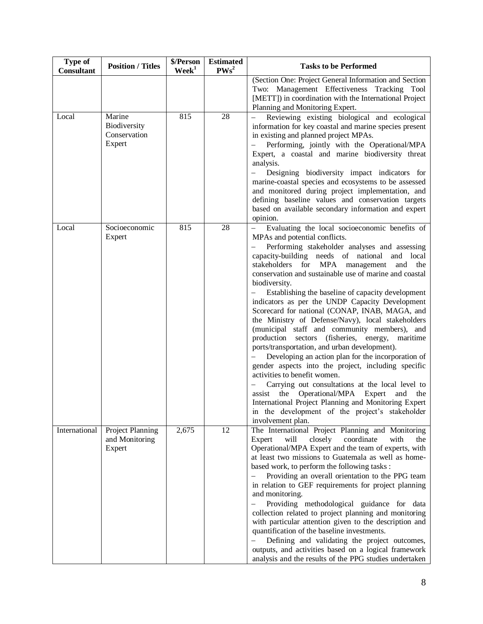| Type of<br>Consultant | <b>Position / Titles</b>                         | \$/Person<br>$\mathbf{W}\mathbf{e}\mathbf{e}\mathbf{k}^1$ | <b>Estimated</b><br>$PWS^2$ | <b>Tasks to be Performed</b>                                                                                                                                                                                                                                                                                                                                                                                                                                                                                                                                                                                                                                                                                                                                                                                                                                                                                                                                                                                                                                                                           |
|-----------------------|--------------------------------------------------|-----------------------------------------------------------|-----------------------------|--------------------------------------------------------------------------------------------------------------------------------------------------------------------------------------------------------------------------------------------------------------------------------------------------------------------------------------------------------------------------------------------------------------------------------------------------------------------------------------------------------------------------------------------------------------------------------------------------------------------------------------------------------------------------------------------------------------------------------------------------------------------------------------------------------------------------------------------------------------------------------------------------------------------------------------------------------------------------------------------------------------------------------------------------------------------------------------------------------|
|                       |                                                  |                                                           |                             | (Section One: Project General Information and Section<br>Two: Management Effectiveness Tracking Tool<br>[METT]) in coordination with the International Project<br>Planning and Monitoring Expert.                                                                                                                                                                                                                                                                                                                                                                                                                                                                                                                                                                                                                                                                                                                                                                                                                                                                                                      |
| Local                 | Marine<br>Biodiversity<br>Conservation<br>Expert | 815                                                       | 28                          | Reviewing existing biological and ecological<br>information for key coastal and marine species present<br>in existing and planned project MPAs.<br>Performing, jointly with the Operational/MPA<br>Expert, a coastal and marine biodiversity threat<br>analysis.<br>Designing biodiversity impact indicators for<br>marine-coastal species and ecosystems to be assessed<br>and monitored during project implementation, and<br>defining baseline values and conservation targets<br>based on available secondary information and expert<br>opinion.                                                                                                                                                                                                                                                                                                                                                                                                                                                                                                                                                   |
| Local                 | Socioeconomic<br>Expert                          | 815                                                       | 28                          | Evaluating the local socioeconomic benefits of<br>MPAs and potential conflicts.<br>Performing stakeholder analyses and assessing<br>capacity-building needs of national<br>and local<br>stakeholders<br>for<br><b>MPA</b><br>management<br>and<br>the<br>conservation and sustainable use of marine and coastal<br>biodiversity.<br>Establishing the baseline of capacity development<br>indicators as per the UNDP Capacity Development<br>Scorecard for national (CONAP, INAB, MAGA, and<br>the Ministry of Defense/Navy), local stakeholders<br>(municipal staff and community members), and<br>production<br>sectors (fisheries, energy,<br>maritime<br>ports/transportation, and urban development).<br>Developing an action plan for the incorporation of<br>gender aspects into the project, including specific<br>activities to benefit women.<br>Carrying out consultations at the local level to<br>the<br>Operational/MPA<br>Expert<br>and<br>assist<br>the<br>International Project Planning and Monitoring Expert<br>in the development of the project's stakeholder<br>involvement plan. |
| International         | Project Planning<br>and Monitoring<br>Expert     | 2,675                                                     | 12                          | The International Project Planning and Monitoring<br>closely<br>coordinate<br>with<br>Expert<br>will<br>the<br>Operational/MPA Expert and the team of experts, with<br>at least two missions to Guatemala as well as home-<br>based work, to perform the following tasks :<br>Providing an overall orientation to the PPG team<br>in relation to GEF requirements for project planning<br>and monitoring.<br>$\overline{\phantom{0}}$<br>Providing methodological guidance for data<br>collection related to project planning and monitoring<br>with particular attention given to the description and<br>quantification of the baseline investments.<br>$\equiv$<br>Defining and validating the project outcomes,<br>outputs, and activities based on a logical framework<br>analysis and the results of the PPG studies undertaken                                                                                                                                                                                                                                                                   |